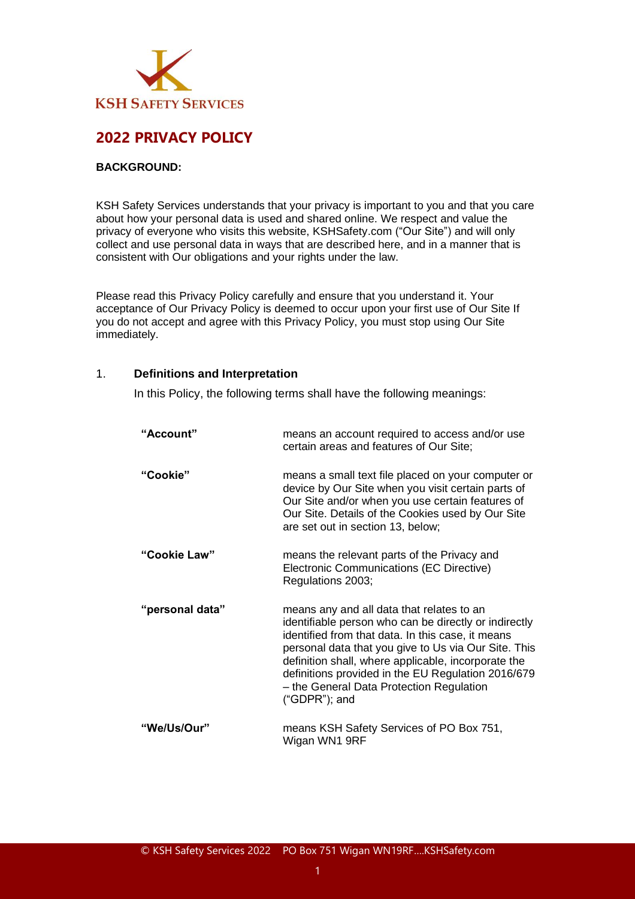

# **2022 PRIVACY POLICY**

#### **BACKGROUND:**

KSH Safety Services understands that your privacy is important to you and that you care about how your personal data is used and shared online. We respect and value the privacy of everyone who visits this website, KSHSafety.com ("Our Site") and will only collect and use personal data in ways that are described here, and in a manner that is consistent with Our obligations and your rights under the law.

Please read this Privacy Policy carefully and ensure that you understand it. Your acceptance of Our Privacy Policy is deemed to occur upon your first use of Our Site If you do not accept and agree with this Privacy Policy, you must stop using Our Site immediately.

#### 1. **Definitions and Interpretation**

In this Policy, the following terms shall have the following meanings:

| "Account"       | means an account required to access and/or use<br>certain areas and features of Our Site;                                                                                                                                                                                                                                                                                                    |
|-----------------|----------------------------------------------------------------------------------------------------------------------------------------------------------------------------------------------------------------------------------------------------------------------------------------------------------------------------------------------------------------------------------------------|
| "Cookie"        | means a small text file placed on your computer or<br>device by Our Site when you visit certain parts of<br>Our Site and/or when you use certain features of<br>Our Site. Details of the Cookies used by Our Site<br>are set out in section 13, below;                                                                                                                                       |
| "Cookie Law"    | means the relevant parts of the Privacy and<br>Electronic Communications (EC Directive)<br>Regulations 2003;                                                                                                                                                                                                                                                                                 |
| "personal data" | means any and all data that relates to an<br>identifiable person who can be directly or indirectly<br>identified from that data. In this case, it means<br>personal data that you give to Us via Our Site. This<br>definition shall, where applicable, incorporate the<br>definitions provided in the EU Regulation 2016/679<br>- the General Data Protection Regulation<br>$("GDPR")$ ; and |
| "We/Us/Our"     | means KSH Safety Services of PO Box 751,<br>Wigan WN1 9RF                                                                                                                                                                                                                                                                                                                                    |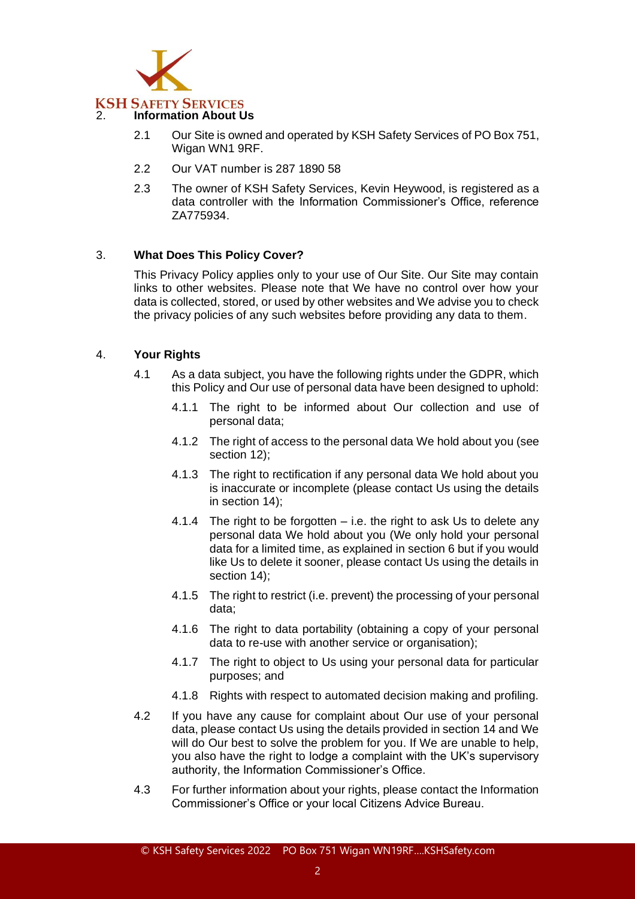

# **KSH SAFETY SERVICES**

# 2. **Information About Us**

- 2.1 Our Site is owned and operated by KSH Safety Services of PO Box 751, Wigan WN1 9RF.
- 2.2 Our VAT number is 287 1890 58
- 2.3 The owner of KSH Safety Services, Kevin Heywood, is registered as a data controller with the Information Commissioner's Office, reference ZA775934.

# 3. **What Does This Policy Cover?**

This Privacy Policy applies only to your use of Our Site. Our Site may contain links to other websites. Please note that We have no control over how your data is collected, stored, or used by other websites and We advise you to check the privacy policies of any such websites before providing any data to them.

## 4. **Your Rights**

- 4.1 As a data subject, you have the following rights under the GDPR, which this Policy and Our use of personal data have been designed to uphold:
	- 4.1.1 The right to be informed about Our collection and use of personal data;
	- 4.1.2 The right of access to the personal data We hold about you (see section 12);
	- 4.1.3 The right to rectification if any personal data We hold about you is inaccurate or incomplete (please contact Us using the details in section 14);
	- 4.1.4 The right to be forgotten  $-$  i.e. the right to ask Us to delete any personal data We hold about you (We only hold your personal data for a limited time, as explained in section 6 but if you would like Us to delete it sooner, please contact Us using the details in section 14);
	- 4.1.5 The right to restrict (i.e. prevent) the processing of your personal data;
	- 4.1.6 The right to data portability (obtaining a copy of your personal data to re-use with another service or organisation);
	- 4.1.7 The right to object to Us using your personal data for particular purposes; and
	- 4.1.8 Rights with respect to automated decision making and profiling.
- 4.2 If you have any cause for complaint about Our use of your personal data, please contact Us using the details provided in section 14 and We will do Our best to solve the problem for you. If We are unable to help, you also have the right to lodge a complaint with the UK's supervisory authority, the Information Commissioner's Office.
- 4.3 For further information about your rights, please contact the Information Commissioner's Office or your local Citizens Advice Bureau.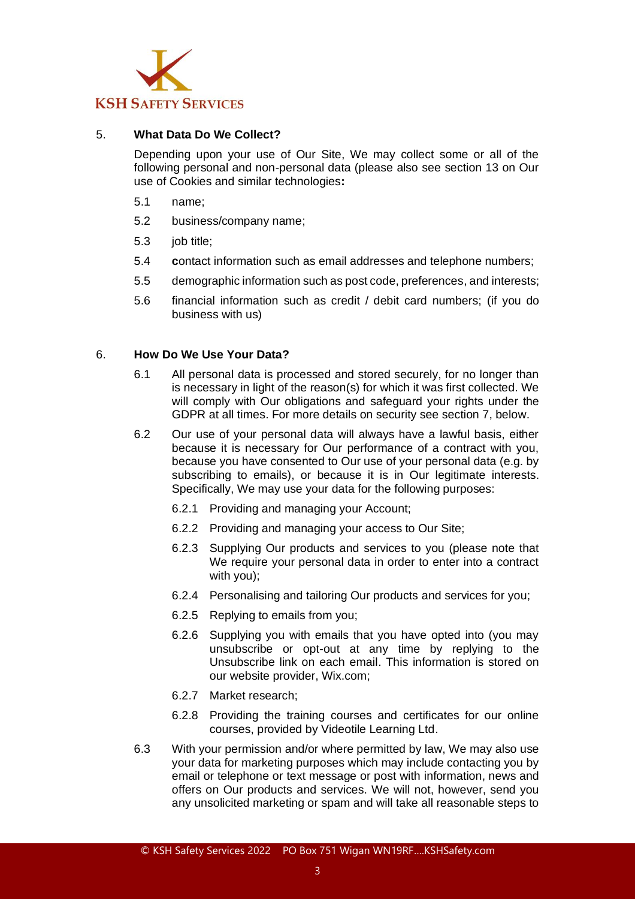

## 5. **What Data Do We Collect?**

Depending upon your use of Our Site, We may collect some or all of the following personal and non-personal data (please also see section 13 on Our use of Cookies and similar technologies**:**

- 5.1 name;
- 5.2 business/company name;
- 5.3 job title;
- 5.4 **c**ontact information such as email addresses and telephone numbers;
- 5.5 demographic information such as post code, preferences, and interests;
- 5.6 financial information such as credit / debit card numbers; (if you do business with us)

#### 6. **How Do We Use Your Data?**

- 6.1 All personal data is processed and stored securely, for no longer than is necessary in light of the reason(s) for which it was first collected. We will comply with Our obligations and safeguard your rights under the GDPR at all times. For more details on security see section 7, below.
- 6.2 Our use of your personal data will always have a lawful basis, either because it is necessary for Our performance of a contract with you, because you have consented to Our use of your personal data (e.g. by subscribing to emails), or because it is in Our legitimate interests. Specifically, We may use your data for the following purposes:
	- 6.2.1 Providing and managing your Account;
	- 6.2.2 Providing and managing your access to Our Site;
	- 6.2.3 Supplying Our products and services to you (please note that We require your personal data in order to enter into a contract with you);
	- 6.2.4 Personalising and tailoring Our products and services for you;
	- 6.2.5 Replying to emails from you;
	- 6.2.6 Supplying you with emails that you have opted into (you may unsubscribe or opt-out at any time by replying to the Unsubscribe link on each email. This information is stored on our website provider, Wix.com;
	- 6.2.7 Market research;
	- 6.2.8 Providing the training courses and certificates for our online courses, provided by Videotile Learning Ltd.
- 6.3 With your permission and/or where permitted by law, We may also use your data for marketing purposes which may include contacting you by email or telephone or text message or post with information, news and offers on Our products and services. We will not, however, send you any unsolicited marketing or spam and will take all reasonable steps to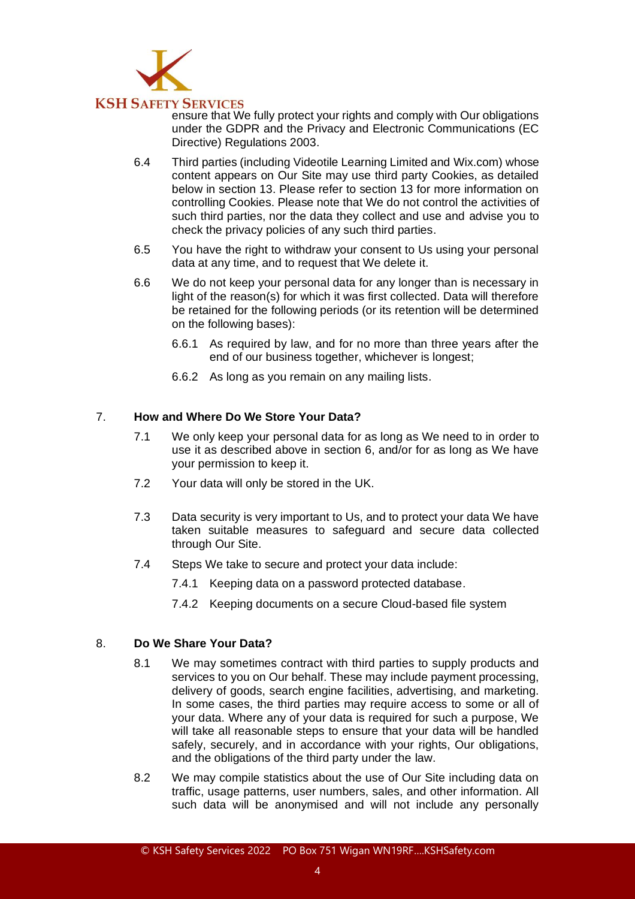

ensure that We fully protect your rights and comply with Our obligations under the GDPR and the Privacy and Electronic Communications (EC Directive) Regulations 2003.

- 6.4 Third parties (including Videotile Learning Limited and Wix.com) whose content appears on Our Site may use third party Cookies, as detailed below in section 13. Please refer to section 13 for more information on controlling Cookies. Please note that We do not control the activities of such third parties, nor the data they collect and use and advise you to check the privacy policies of any such third parties.
- 6.5 You have the right to withdraw your consent to Us using your personal data at any time, and to request that We delete it.
- 6.6 We do not keep your personal data for any longer than is necessary in light of the reason(s) for which it was first collected. Data will therefore be retained for the following periods (or its retention will be determined on the following bases):
	- 6.6.1 As required by law, and for no more than three years after the end of our business together, whichever is longest;
	- 6.6.2 As long as you remain on any mailing lists.

## 7. **How and Where Do We Store Your Data?**

- 7.1 We only keep your personal data for as long as We need to in order to use it as described above in section 6, and/or for as long as We have your permission to keep it.
- 7.2 Your data will only be stored in the UK.
- 7.3 Data security is very important to Us, and to protect your data We have taken suitable measures to safeguard and secure data collected through Our Site.
- 7.4 Steps We take to secure and protect your data include:
	- 7.4.1 Keeping data on a password protected database.
	- 7.4.2 Keeping documents on a secure Cloud-based file system

## 8. **Do We Share Your Data?**

- 8.1 We may sometimes contract with third parties to supply products and services to you on Our behalf. These may include payment processing, delivery of goods, search engine facilities, advertising, and marketing. In some cases, the third parties may require access to some or all of your data. Where any of your data is required for such a purpose, We will take all reasonable steps to ensure that your data will be handled safely, securely, and in accordance with your rights, Our obligations, and the obligations of the third party under the law.
- 8.2 We may compile statistics about the use of Our Site including data on traffic, usage patterns, user numbers, sales, and other information. All such data will be anonymised and will not include any personally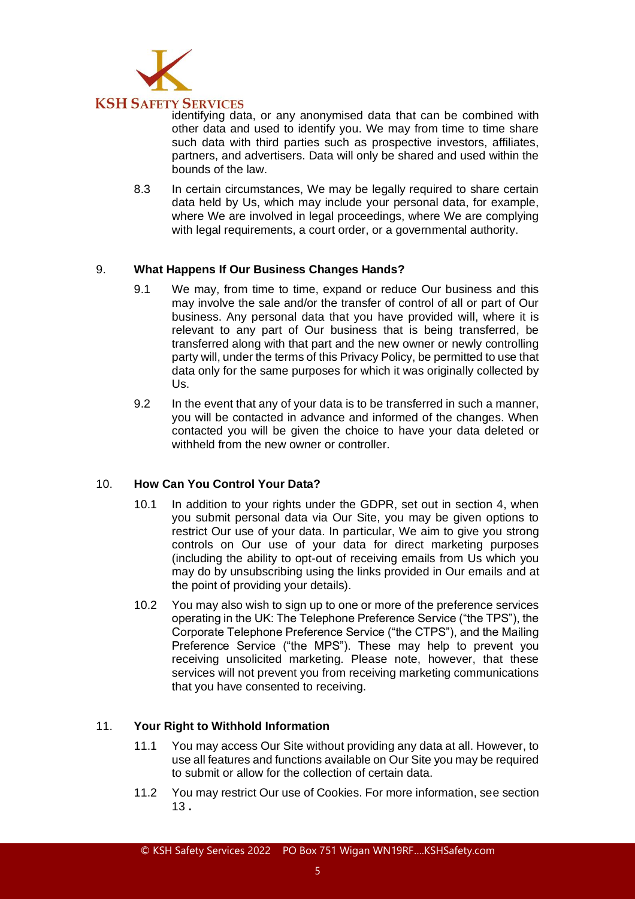

identifying data, or any anonymised data that can be combined with other data and used to identify you. We may from time to time share such data with third parties such as prospective investors, affiliates, partners, and advertisers. Data will only be shared and used within the bounds of the law.

8.3 In certain circumstances, We may be legally required to share certain data held by Us, which may include your personal data, for example, where We are involved in legal proceedings, where We are complying with legal requirements, a court order, or a governmental authority.

## 9. **What Happens If Our Business Changes Hands?**

- 9.1 We may, from time to time, expand or reduce Our business and this may involve the sale and/or the transfer of control of all or part of Our business. Any personal data that you have provided will, where it is relevant to any part of Our business that is being transferred, be transferred along with that part and the new owner or newly controlling party will, under the terms of this Privacy Policy, be permitted to use that data only for the same purposes for which it was originally collected by Us.
- 9.2 In the event that any of your data is to be transferred in such a manner, you will be contacted in advance and informed of the changes. When contacted you will be given the choice to have your data deleted or withheld from the new owner or controller

## 10. **How Can You Control Your Data?**

- 10.1 In addition to your rights under the GDPR, set out in section 4, when you submit personal data via Our Site, you may be given options to restrict Our use of your data. In particular, We aim to give you strong controls on Our use of your data for direct marketing purposes (including the ability to opt-out of receiving emails from Us which you may do by unsubscribing using the links provided in Our emails and at the point of providing your details).
- 10.2 You may also wish to sign up to one or more of the preference services operating in the UK: The Telephone Preference Service ("the TPS"), the Corporate Telephone Preference Service ("the CTPS"), and the Mailing Preference Service ("the MPS"). These may help to prevent you receiving unsolicited marketing. Please note, however, that these services will not prevent you from receiving marketing communications that you have consented to receiving.

# 11. **Your Right to Withhold Information**

- 11.1 You may access Our Site without providing any data at all. However, to use all features and functions available on Our Site you may be required to submit or allow for the collection of certain data.
- 11.2 You may restrict Our use of Cookies. For more information, see section 13 **.**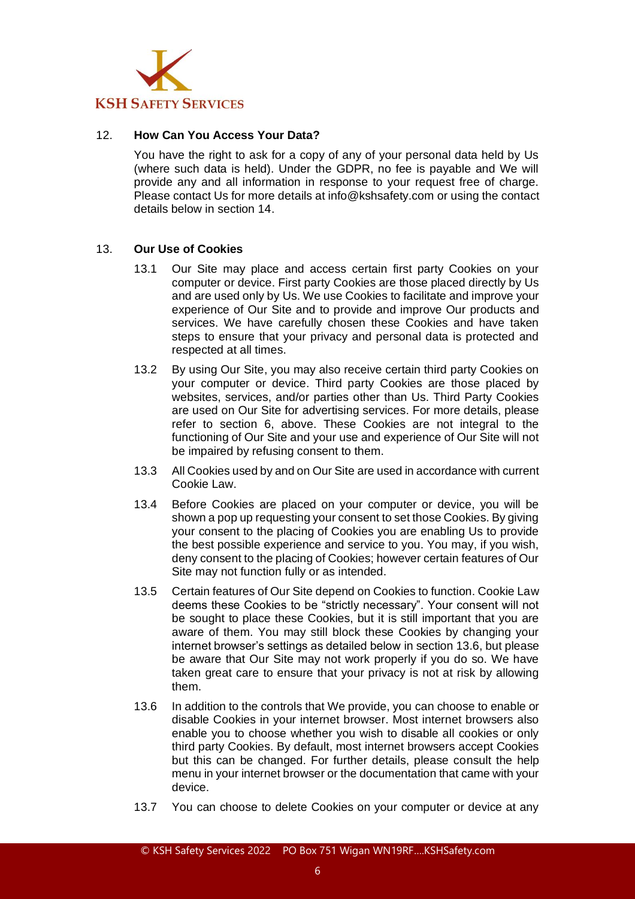

#### 12. **How Can You Access Your Data?**

You have the right to ask for a copy of any of your personal data held by Us (where such data is held). Under the GDPR, no fee is payable and We will provide any and all information in response to your request free of charge. Please contact Us for more details at info@kshsafety.com or using the contact details below in section 14.

#### 13. **Our Use of Cookies**

- 13.1 Our Site may place and access certain first party Cookies on your computer or device. First party Cookies are those placed directly by Us and are used only by Us. We use Cookies to facilitate and improve your experience of Our Site and to provide and improve Our products and services. We have carefully chosen these Cookies and have taken steps to ensure that your privacy and personal data is protected and respected at all times.
- 13.2 By using Our Site, you may also receive certain third party Cookies on your computer or device. Third party Cookies are those placed by websites, services, and/or parties other than Us. Third Party Cookies are used on Our Site for advertising services. For more details, please refer to section 6, above. These Cookies are not integral to the functioning of Our Site and your use and experience of Our Site will not be impaired by refusing consent to them.
- 13.3 All Cookies used by and on Our Site are used in accordance with current Cookie Law.
- 13.4 Before Cookies are placed on your computer or device, you will be shown a pop up requesting your consent to set those Cookies. By giving your consent to the placing of Cookies you are enabling Us to provide the best possible experience and service to you. You may, if you wish, deny consent to the placing of Cookies; however certain features of Our Site may not function fully or as intended.
- 13.5 Certain features of Our Site depend on Cookies to function. Cookie Law deems these Cookies to be "strictly necessary". Your consent will not be sought to place these Cookies, but it is still important that you are aware of them. You may still block these Cookies by changing your internet browser's settings as detailed below in section 13.6, but please be aware that Our Site may not work properly if you do so. We have taken great care to ensure that your privacy is not at risk by allowing them.
- 13.6 In addition to the controls that We provide, you can choose to enable or disable Cookies in your internet browser. Most internet browsers also enable you to choose whether you wish to disable all cookies or only third party Cookies. By default, most internet browsers accept Cookies but this can be changed. For further details, please consult the help menu in your internet browser or the documentation that came with your device.
- 13.7 You can choose to delete Cookies on your computer or device at any